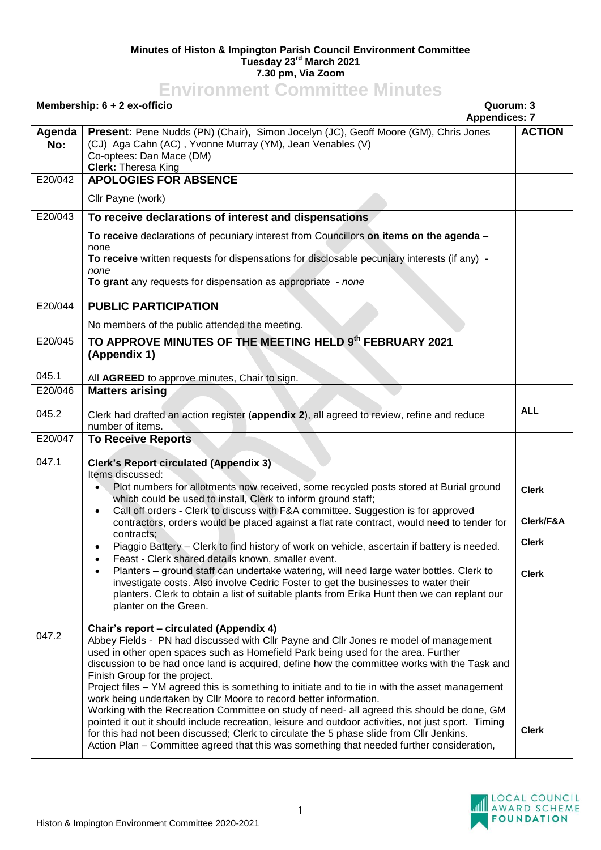## **Minutes of Histon & Impington Parish Council Environment Committee Tuesday 23rd March 2021 7.30 pm, Via Zoom**

## **Environment Committee Minutes**

## **Membership: 6 + 2 ex-officio Quorum: 3 Appendices: 7 Agenda No: Present:** Pene Nudds (PN) (Chair), Simon Jocelyn (JC), Geoff Moore (GM), Chris Jones (CJ) Aga Cahn (AC) , Yvonne Murray (YM), Jean Venables (V) Co-optees: Dan Mace (DM) **Clerk:** Theresa King **ACTION** E20/042 **APOLOGIES FOR ABSENCE** Cllr Payne (work) E20/043 **To receive declarations of interest and dispensations To receive** declarations of pecuniary interest from Councillors **on items on the agenda** – none **To receive** written requests for dispensations for disclosable pecuniary interests (if any) *none* **To grant** any requests for dispensation as appropriate - *none* E20/044 **PUBLIC PARTICIPATION** No members of the public attended the meeting. E20/045 045.1 **TO APPROVE MINUTES OF THE MEETING HELD 9 th FEBRUARY 2021 (Appendix 1)** All **AGREED** to approve minutes, Chair to sign. E20/046 045.2 **Matters arising** Clerk had drafted an action register (**appendix 2**), all agreed to review, refine and reduce number of items. **ALL** E20/047 047.1 047.2 **To Receive Reports Clerk's Report circulated (Appendix 3)** Items discussed: Plot numbers for allotments now received, some recycled posts stored at Burial ground which could be used to install. Clerk to inform ground staff: Call off orders - Clerk to discuss with F&A committee. Suggestion is for approved contractors, orders would be placed against a flat rate contract, would need to tender for contracts; Piaggio Battery – Clerk to find history of work on vehicle, ascertain if battery is needed. Feast - Clerk shared details known, smaller event. Planters – ground staff can undertake watering, will need large water bottles. Clerk to investigate costs. Also involve Cedric Foster to get the businesses to water their planters. Clerk to obtain a list of suitable plants from Erika Hunt then we can replant our planter on the Green. **Chair's report – circulated (Appendix 4)** Abbey Fields - PN had discussed with Cllr Payne and Cllr Jones re model of management used in other open spaces such as Homefield Park being used for the area. Further discussion to be had once land is acquired, define how the committee works with the Task and Finish Group for the project. Project files – YM agreed this is something to initiate and to tie in with the asset management work being undertaken by Cllr Moore to record better information. Working with the Recreation Committee on study of need- all agreed this should be done, GM pointed it out it should include recreation, leisure and outdoor activities, not just sport. Timing for this had not been discussed; Clerk to circulate the 5 phase slide from Cllr Jenkins. Action Plan – Committee agreed that this was something that needed further consideration, **Clerk Clerk/F&A Clerk Clerk Clerk**

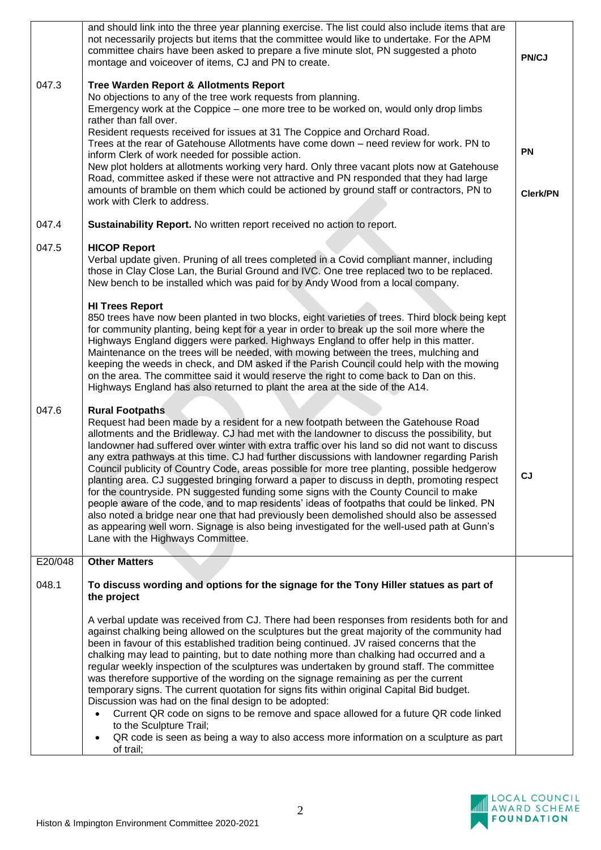| 047.3   | and should link into the three year planning exercise. The list could also include items that are<br>not necessarily projects but items that the committee would like to undertake. For the APM<br>committee chairs have been asked to prepare a five minute slot, PN suggested a photo<br>montage and voiceover of items, CJ and PN to create.<br><b>Tree Warden Report &amp; Allotments Report</b><br>No objections to any of the tree work requests from planning.<br>Emergency work at the Coppice – one more tree to be worked on, would only drop limbs<br>rather than fall over.<br>Resident requests received for issues at 31 The Coppice and Orchard Road.<br>Trees at the rear of Gatehouse Allotments have come down - need review for work. PN to<br>inform Clerk of work needed for possible action.<br>New plot holders at allotments working very hard. Only three vacant plots now at Gatehouse<br>Road, committee asked if these were not attractive and PN responded that they had large<br>amounts of bramble on them which could be actioned by ground staff or contractors, PN to<br>work with Clerk to address. | PN/CJ<br><b>PN</b><br><b>Clerk/PN</b> |
|---------|----------------------------------------------------------------------------------------------------------------------------------------------------------------------------------------------------------------------------------------------------------------------------------------------------------------------------------------------------------------------------------------------------------------------------------------------------------------------------------------------------------------------------------------------------------------------------------------------------------------------------------------------------------------------------------------------------------------------------------------------------------------------------------------------------------------------------------------------------------------------------------------------------------------------------------------------------------------------------------------------------------------------------------------------------------------------------------------------------------------------------------------|---------------------------------------|
| 047.4   | Sustainability Report. No written report received no action to report.                                                                                                                                                                                                                                                                                                                                                                                                                                                                                                                                                                                                                                                                                                                                                                                                                                                                                                                                                                                                                                                                 |                                       |
| 047.5   | <b>HICOP Report</b><br>Verbal update given. Pruning of all trees completed in a Covid compliant manner, including<br>those in Clay Close Lan, the Burial Ground and IVC. One tree replaced two to be replaced.<br>New bench to be installed which was paid for by Andy Wood from a local company.<br><b>HI Trees Report</b>                                                                                                                                                                                                                                                                                                                                                                                                                                                                                                                                                                                                                                                                                                                                                                                                            |                                       |
|         | 850 trees have now been planted in two blocks, eight varieties of trees. Third block being kept<br>for community planting, being kept for a year in order to break up the soil more where the<br>Highways England diggers were parked. Highways England to offer help in this matter.<br>Maintenance on the trees will be needed, with mowing between the trees, mulching and<br>keeping the weeds in check, and DM asked if the Parish Council could help with the mowing<br>on the area. The committee said it would reserve the right to come back to Dan on this.<br>Highways England has also returned to plant the area at the side of the A14.                                                                                                                                                                                                                                                                                                                                                                                                                                                                                  |                                       |
| 047.6   | <b>Rural Footpaths</b><br>Request had been made by a resident for a new footpath between the Gatehouse Road<br>allotments and the Bridleway. CJ had met with the landowner to discuss the possibility, but<br>landowner had suffered over winter with extra traffic over his land so did not want to discuss<br>any extra pathways at this time. CJ had further discussions with landowner regarding Parish<br>Council publicity of Country Code, areas possible for more tree planting, possible hedgerow<br>planting area. CJ suggested bringing forward a paper to discuss in depth, promoting respect<br>for the countryside. PN suggested funding some signs with the County Council to make<br>people aware of the code, and to map residents' ideas of footpaths that could be linked. PN<br>also noted a bridge near one that had previously been demolished should also be assessed<br>as appearing well worn. Signage is also being investigated for the well-used path at Gunn's<br>Lane with the Highways Committee.                                                                                                       | <b>CJ</b>                             |
| E20/048 | <b>Other Matters</b>                                                                                                                                                                                                                                                                                                                                                                                                                                                                                                                                                                                                                                                                                                                                                                                                                                                                                                                                                                                                                                                                                                                   |                                       |
| 048.1   | To discuss wording and options for the signage for the Tony Hiller statues as part of<br>the project                                                                                                                                                                                                                                                                                                                                                                                                                                                                                                                                                                                                                                                                                                                                                                                                                                                                                                                                                                                                                                   |                                       |
|         | A verbal update was received from CJ. There had been responses from residents both for and<br>against chalking being allowed on the sculptures but the great majority of the community had<br>been in favour of this established tradition being continued. JV raised concerns that the<br>chalking may lead to painting, but to date nothing more than chalking had occurred and a<br>regular weekly inspection of the sculptures was undertaken by ground staff. The committee<br>was therefore supportive of the wording on the signage remaining as per the current<br>temporary signs. The current quotation for signs fits within original Capital Bid budget.<br>Discussion was had on the final design to be adopted:<br>Current QR code on signs to be remove and space allowed for a future QR code linked<br>to the Sculpture Trail;<br>QR code is seen as being a way to also access more information on a sculpture as part<br>$\bullet$<br>of trail;                                                                                                                                                                     |                                       |

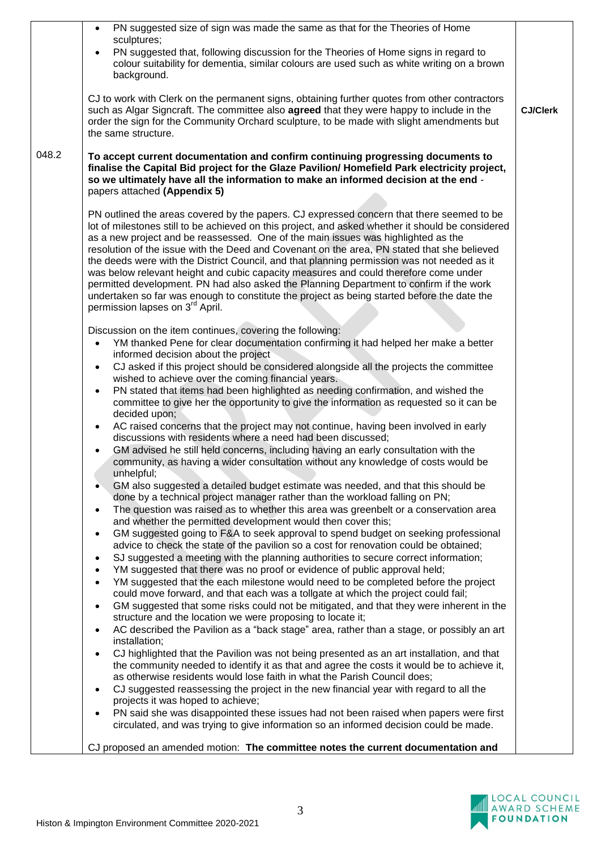|       | PN suggested size of sign was made the same as that for the Theories of Home<br>$\bullet$<br>sculptures;                                                                                                                                                                                                                                                                                                                                                                                                                                                                                                                                                                                                                                                                                                           |                 |
|-------|--------------------------------------------------------------------------------------------------------------------------------------------------------------------------------------------------------------------------------------------------------------------------------------------------------------------------------------------------------------------------------------------------------------------------------------------------------------------------------------------------------------------------------------------------------------------------------------------------------------------------------------------------------------------------------------------------------------------------------------------------------------------------------------------------------------------|-----------------|
|       | PN suggested that, following discussion for the Theories of Home signs in regard to<br>$\bullet$<br>colour suitability for dementia, similar colours are used such as white writing on a brown                                                                                                                                                                                                                                                                                                                                                                                                                                                                                                                                                                                                                     |                 |
|       | background.                                                                                                                                                                                                                                                                                                                                                                                                                                                                                                                                                                                                                                                                                                                                                                                                        |                 |
|       | CJ to work with Clerk on the permanent signs, obtaining further quotes from other contractors<br>such as Algar Signcraft. The committee also <b>agreed</b> that they were happy to include in the<br>order the sign for the Community Orchard sculpture, to be made with slight amendments but<br>the same structure.                                                                                                                                                                                                                                                                                                                                                                                                                                                                                              | <b>CJ/Clerk</b> |
| 048.2 | To accept current documentation and confirm continuing progressing documents to<br>finalise the Capital Bid project for the Glaze Pavilion/ Homefield Park electricity project,<br>so we ultimately have all the information to make an informed decision at the end -<br>papers attached (Appendix 5)                                                                                                                                                                                                                                                                                                                                                                                                                                                                                                             |                 |
|       |                                                                                                                                                                                                                                                                                                                                                                                                                                                                                                                                                                                                                                                                                                                                                                                                                    |                 |
|       | PN outlined the areas covered by the papers. CJ expressed concern that there seemed to be<br>lot of milestones still to be achieved on this project, and asked whether it should be considered<br>as a new project and be reassessed. One of the main issues was highlighted as the<br>resolution of the issue with the Deed and Covenant on the area, PN stated that she believed<br>the deeds were with the District Council, and that planning permission was not needed as it<br>was below relevant height and cubic capacity measures and could therefore come under<br>permitted development. PN had also asked the Planning Department to confirm if the work<br>undertaken so far was enough to constitute the project as being started before the date the<br>permission lapses on 3 <sup>rd</sup> April. |                 |
|       | Discussion on the item continues, covering the following:                                                                                                                                                                                                                                                                                                                                                                                                                                                                                                                                                                                                                                                                                                                                                          |                 |
|       | YM thanked Pene for clear documentation confirming it had helped her make a better<br>$\bullet$<br>informed decision about the project                                                                                                                                                                                                                                                                                                                                                                                                                                                                                                                                                                                                                                                                             |                 |
|       | CJ asked if this project should be considered alongside all the projects the committee<br>$\bullet$                                                                                                                                                                                                                                                                                                                                                                                                                                                                                                                                                                                                                                                                                                                |                 |
|       | wished to achieve over the coming financial years.                                                                                                                                                                                                                                                                                                                                                                                                                                                                                                                                                                                                                                                                                                                                                                 |                 |
|       | PN stated that items had been highlighted as needing confirmation, and wished the<br>$\bullet$<br>committee to give her the opportunity to give the information as requested so it can be<br>decided upon;                                                                                                                                                                                                                                                                                                                                                                                                                                                                                                                                                                                                         |                 |
|       | AC raised concerns that the project may not continue, having been involved in early<br>$\bullet$<br>discussions with residents where a need had been discussed;                                                                                                                                                                                                                                                                                                                                                                                                                                                                                                                                                                                                                                                    |                 |
|       | GM advised he still held concerns, including having an early consultation with the<br>$\bullet$<br>community, as having a wider consultation without any knowledge of costs would be<br>unhelpful;                                                                                                                                                                                                                                                                                                                                                                                                                                                                                                                                                                                                                 |                 |
|       | GM also suggested a detailed budget estimate was needed, and that this should be<br>done by a technical project manager rather than the workload falling on PN;                                                                                                                                                                                                                                                                                                                                                                                                                                                                                                                                                                                                                                                    |                 |
|       | The question was raised as to whether this area was greenbelt or a conservation area<br>$\bullet$<br>and whether the permitted development would then cover this;                                                                                                                                                                                                                                                                                                                                                                                                                                                                                                                                                                                                                                                  |                 |
|       | GM suggested going to F&A to seek approval to spend budget on seeking professional<br>$\bullet$                                                                                                                                                                                                                                                                                                                                                                                                                                                                                                                                                                                                                                                                                                                    |                 |
|       | advice to check the state of the pavilion so a cost for renovation could be obtained;<br>SJ suggested a meeting with the planning authorities to secure correct information;<br>$\bullet$                                                                                                                                                                                                                                                                                                                                                                                                                                                                                                                                                                                                                          |                 |
|       | YM suggested that there was no proof or evidence of public approval held;<br>$\bullet$                                                                                                                                                                                                                                                                                                                                                                                                                                                                                                                                                                                                                                                                                                                             |                 |
|       | YM suggested that the each milestone would need to be completed before the project<br>$\bullet$<br>could move forward, and that each was a tollgate at which the project could fail;                                                                                                                                                                                                                                                                                                                                                                                                                                                                                                                                                                                                                               |                 |
|       | GM suggested that some risks could not be mitigated, and that they were inherent in the<br>$\bullet$                                                                                                                                                                                                                                                                                                                                                                                                                                                                                                                                                                                                                                                                                                               |                 |
|       | structure and the location we were proposing to locate it;<br>AC described the Pavilion as a "back stage" area, rather than a stage, or possibly an art<br>$\bullet$                                                                                                                                                                                                                                                                                                                                                                                                                                                                                                                                                                                                                                               |                 |
|       | installation;                                                                                                                                                                                                                                                                                                                                                                                                                                                                                                                                                                                                                                                                                                                                                                                                      |                 |
|       | CJ highlighted that the Pavilion was not being presented as an art installation, and that<br>$\bullet$<br>the community needed to identify it as that and agree the costs it would be to achieve it,<br>as otherwise residents would lose faith in what the Parish Council does;                                                                                                                                                                                                                                                                                                                                                                                                                                                                                                                                   |                 |
|       | CJ suggested reassessing the project in the new financial year with regard to all the<br>$\bullet$                                                                                                                                                                                                                                                                                                                                                                                                                                                                                                                                                                                                                                                                                                                 |                 |
|       | projects it was hoped to achieve;<br>PN said she was disappointed these issues had not been raised when papers were first<br>$\bullet$<br>circulated, and was trying to give information so an informed decision could be made.                                                                                                                                                                                                                                                                                                                                                                                                                                                                                                                                                                                    |                 |
|       | CJ proposed an amended motion: The committee notes the current documentation and                                                                                                                                                                                                                                                                                                                                                                                                                                                                                                                                                                                                                                                                                                                                   |                 |

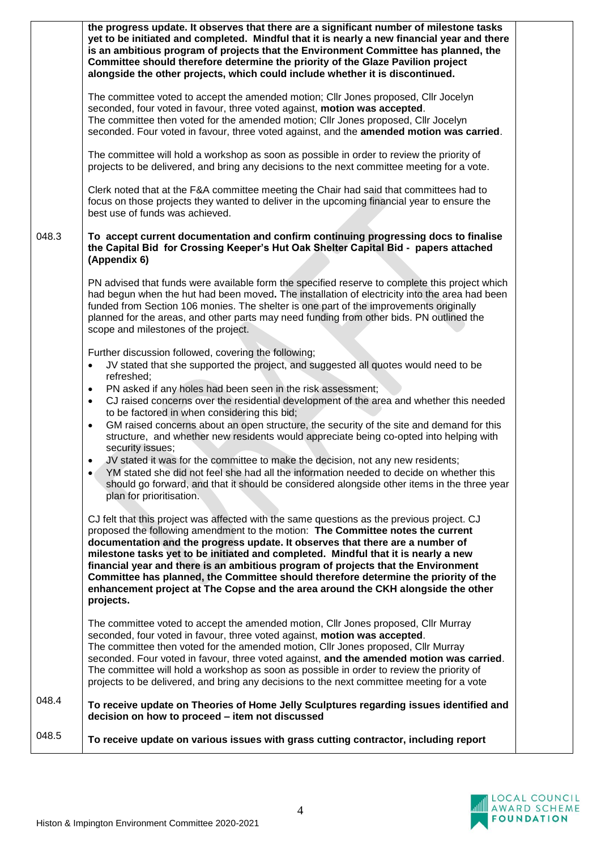|       | the progress update. It observes that there are a significant number of milestone tasks<br>yet to be initiated and completed. Mindful that it is nearly a new financial year and there<br>is an ambitious program of projects that the Environment Committee has planned, the<br>Committee should therefore determine the priority of the Glaze Pavilion project<br>alongside the other projects, which could include whether it is discontinued.                                                                                                                                                                                 |
|-------|-----------------------------------------------------------------------------------------------------------------------------------------------------------------------------------------------------------------------------------------------------------------------------------------------------------------------------------------------------------------------------------------------------------------------------------------------------------------------------------------------------------------------------------------------------------------------------------------------------------------------------------|
|       | The committee voted to accept the amended motion; Cllr Jones proposed, Cllr Jocelyn<br>seconded, four voted in favour, three voted against, motion was accepted.<br>The committee then voted for the amended motion; Cllr Jones proposed, Cllr Jocelyn<br>seconded. Four voted in favour, three voted against, and the amended motion was carried.                                                                                                                                                                                                                                                                                |
|       | The committee will hold a workshop as soon as possible in order to review the priority of<br>projects to be delivered, and bring any decisions to the next committee meeting for a vote.                                                                                                                                                                                                                                                                                                                                                                                                                                          |
|       | Clerk noted that at the F&A committee meeting the Chair had said that committees had to<br>focus on those projects they wanted to deliver in the upcoming financial year to ensure the<br>best use of funds was achieved.                                                                                                                                                                                                                                                                                                                                                                                                         |
| 048.3 | To accept current documentation and confirm continuing progressing docs to finalise<br>the Capital Bid for Crossing Keeper's Hut Oak Shelter Capital Bid - papers attached<br>(Appendix 6)                                                                                                                                                                                                                                                                                                                                                                                                                                        |
|       | PN advised that funds were available form the specified reserve to complete this project which<br>had begun when the hut had been moved. The installation of electricity into the area had been<br>funded from Section 106 monies. The shelter is one part of the improvements originally<br>planned for the areas, and other parts may need funding from other bids. PN outlined the<br>scope and milestones of the project.                                                                                                                                                                                                     |
|       | Further discussion followed, covering the following;<br>JV stated that she supported the project, and suggested all quotes would need to be<br>$\bullet$<br>refreshed;<br>PN asked if any holes had been seen in the risk assessment;<br>$\bullet$                                                                                                                                                                                                                                                                                                                                                                                |
|       | CJ raised concerns over the residential development of the area and whether this needed<br>$\bullet$<br>to be factored in when considering this bid;<br>GM raised concerns about an open structure, the security of the site and demand for this<br>$\bullet$<br>structure, and whether new residents would appreciate being co-opted into helping with<br>security issues;                                                                                                                                                                                                                                                       |
|       | JV stated it was for the committee to make the decision, not any new residents;<br>YM stated she did not feel she had all the information needed to decide on whether this<br>should go forward, and that it should be considered alongside other items in the three year<br>plan for prioritisation.                                                                                                                                                                                                                                                                                                                             |
|       | CJ felt that this project was affected with the same questions as the previous project. CJ<br>proposed the following amendment to the motion: The Committee notes the current<br>documentation and the progress update. It observes that there are a number of<br>milestone tasks yet to be initiated and completed. Mindful that it is nearly a new<br>financial year and there is an ambitious program of projects that the Environment<br>Committee has planned, the Committee should therefore determine the priority of the<br>enhancement project at The Copse and the area around the CKH alongside the other<br>projects. |
|       | The committee voted to accept the amended motion, Cllr Jones proposed, Cllr Murray<br>seconded, four voted in favour, three voted against, motion was accepted.<br>The committee then voted for the amended motion, Cllr Jones proposed, Cllr Murray<br>seconded. Four voted in favour, three voted against, and the amended motion was carried.<br>The committee will hold a workshop as soon as possible in order to review the priority of<br>projects to be delivered, and bring any decisions to the next committee meeting for a vote                                                                                       |
| 048.4 | To receive update on Theories of Home Jelly Sculptures regarding issues identified and<br>decision on how to proceed - item not discussed                                                                                                                                                                                                                                                                                                                                                                                                                                                                                         |
| 048.5 | To receive update on various issues with grass cutting contractor, including report                                                                                                                                                                                                                                                                                                                                                                                                                                                                                                                                               |